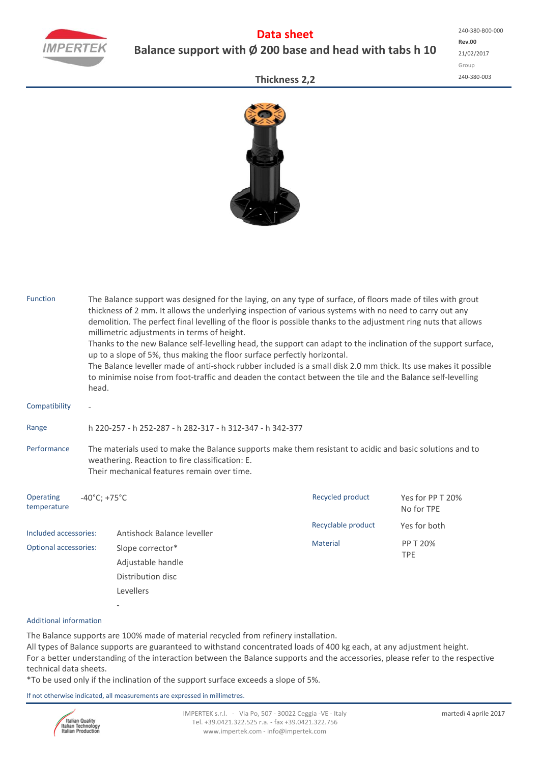

## **Data sheet Balance support with Ø 200 base and head with tabs h 10**

**Rev.00** 21/02/2017 Group 240‐380‐003 240‐380‐B00‐000

## **Thickness 2,2**



| <b>Function</b>              | The Balance support was designed for the laying, on any type of surface, of floors made of tiles with grout<br>thickness of 2 mm. It allows the underlying inspection of various systems with no need to carry out any<br>demolition. The perfect final levelling of the floor is possible thanks to the adjustment ring nuts that allows<br>millimetric adjustments in terms of height.<br>Thanks to the new Balance self-levelling head, the support can adapt to the inclination of the support surface,<br>up to a slope of 5%, thus making the floor surface perfectly horizontal.<br>The Balance leveller made of anti-shock rubber included is a small disk 2.0 mm thick. Its use makes it possible<br>to minimise noise from foot-traffic and deaden the contact between the tile and the Balance self-levelling<br>head. |                                       |                    |                                |  |  |  |  |  |  |
|------------------------------|-----------------------------------------------------------------------------------------------------------------------------------------------------------------------------------------------------------------------------------------------------------------------------------------------------------------------------------------------------------------------------------------------------------------------------------------------------------------------------------------------------------------------------------------------------------------------------------------------------------------------------------------------------------------------------------------------------------------------------------------------------------------------------------------------------------------------------------|---------------------------------------|--------------------|--------------------------------|--|--|--|--|--|--|
| Compatibility                | $\overline{\phantom{a}}$                                                                                                                                                                                                                                                                                                                                                                                                                                                                                                                                                                                                                                                                                                                                                                                                          |                                       |                    |                                |  |  |  |  |  |  |
| Range                        | h 220-257 - h 252-287 - h 282-317 - h 312-347 - h 342-377                                                                                                                                                                                                                                                                                                                                                                                                                                                                                                                                                                                                                                                                                                                                                                         |                                       |                    |                                |  |  |  |  |  |  |
| Performance                  | The materials used to make the Balance supports make them resistant to acidic and basic solutions and to<br>weathering. Reaction to fire classification: E.<br>Their mechanical features remain over time.                                                                                                                                                                                                                                                                                                                                                                                                                                                                                                                                                                                                                        |                                       |                    |                                |  |  |  |  |  |  |
| Operating<br>temperature     | $-40^{\circ}$ C; +75 $^{\circ}$ C                                                                                                                                                                                                                                                                                                                                                                                                                                                                                                                                                                                                                                                                                                                                                                                                 |                                       | Recycled product   | Yes for PP T 20%<br>No for TPE |  |  |  |  |  |  |
| Included accessories:        |                                                                                                                                                                                                                                                                                                                                                                                                                                                                                                                                                                                                                                                                                                                                                                                                                                   | Antishock Balance leveller            | Recyclable product | Yes for both                   |  |  |  |  |  |  |
| <b>Optional accessories:</b> |                                                                                                                                                                                                                                                                                                                                                                                                                                                                                                                                                                                                                                                                                                                                                                                                                                   | Slope corrector*<br>Adjustable handle | <b>Material</b>    | <b>PP T 20%</b><br><b>TPE</b>  |  |  |  |  |  |  |
|                              |                                                                                                                                                                                                                                                                                                                                                                                                                                                                                                                                                                                                                                                                                                                                                                                                                                   | Distribution disc<br>Levellers        |                    |                                |  |  |  |  |  |  |
|                              |                                                                                                                                                                                                                                                                                                                                                                                                                                                                                                                                                                                                                                                                                                                                                                                                                                   |                                       |                    |                                |  |  |  |  |  |  |

## Additional information

The Balance supports are 100% made of material recycled from refinery installation. All types of Balance supports are guaranteed to withstand concentrated loads of 400 kg each, at any adjustment height. For a better understanding of the interaction between the Balance supports and the accessories, please refer to the respective technical data sheets.

\*To be used only if the inclination of the support surface exceeds a slope of 5%.

If not otherwise indicated, all measurements are expressed in millimetres.